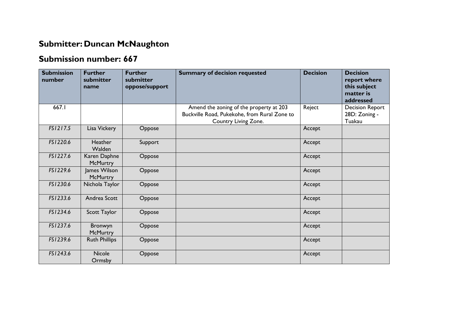## **Submitter: Duncan McNaughton**

## **Submission number: 667**

| <b>Submission</b><br>number | <b>Further</b><br>submitter<br>name | <b>Further</b><br>submitter<br>oppose/support | <b>Summary of decision requested</b>                                                                            | <b>Decision</b> | <b>Decision</b><br>report where<br>this subject<br>matter is<br>addressed |
|-----------------------------|-------------------------------------|-----------------------------------------------|-----------------------------------------------------------------------------------------------------------------|-----------------|---------------------------------------------------------------------------|
| 667.I                       |                                     |                                               | Amend the zoning of the property at 203<br>Buckville Road, Pukekohe, from Rural Zone to<br>Country Living Zone. | Reject          | <b>Decision Report</b><br>28D: Zoning -<br>Tuakau                         |
| FS1217.5                    | Lisa Vickery                        | Oppose                                        |                                                                                                                 | Accept          |                                                                           |
| FS1220.6                    | <b>Heather</b><br>Walden            | Support                                       |                                                                                                                 | Accept          |                                                                           |
| FS1227.6                    | Karen Daphne<br><b>McMurtry</b>     | Oppose                                        |                                                                                                                 | Accept          |                                                                           |
| FS1229.6                    | James Wilson<br>McMurtry            | Oppose                                        |                                                                                                                 | Accept          |                                                                           |
| FS1230.6                    | Nichola Taylor                      | Oppose                                        |                                                                                                                 | Accept          |                                                                           |
| FS1233.6                    | Andrea Scott                        | Oppose                                        |                                                                                                                 | Accept          |                                                                           |
| FS1234.6                    | Scott Taylor                        | Oppose                                        |                                                                                                                 | Accept          |                                                                           |
| FS1237.6                    | Bronwyn<br><b>McMurtry</b>          | Oppose                                        |                                                                                                                 | Accept          |                                                                           |
| FS1239.6                    | <b>Ruth Phillips</b>                | Oppose                                        |                                                                                                                 | Accept          |                                                                           |
| FS1243.6                    | <b>Nicole</b><br>Ormsby             | Oppose                                        |                                                                                                                 | Accept          |                                                                           |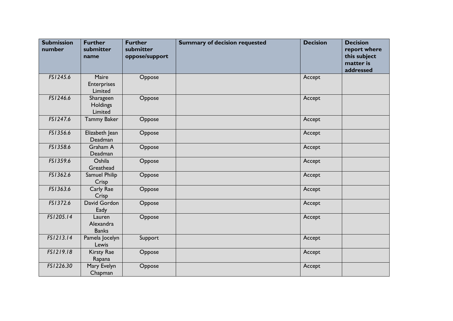| <b>Submission</b><br>number | <b>Further</b><br>submitter<br>name    | <b>Further</b><br>submitter<br>oppose/support | <b>Summary of decision requested</b> | <b>Decision</b> | <b>Decision</b><br>report where<br>this subject<br>matter is<br>addressed |
|-----------------------------|----------------------------------------|-----------------------------------------------|--------------------------------------|-----------------|---------------------------------------------------------------------------|
| FS1245.6                    | Maire<br><b>Enterprises</b><br>Limited | Oppose                                        |                                      | Accept          |                                                                           |
| FS1246.6                    | Sharageen<br>Holdings<br>Limited       | Oppose                                        |                                      | Accept          |                                                                           |
| FS1247.6                    | <b>Tammy Baker</b>                     | Oppose                                        |                                      | Accept          |                                                                           |
| FS1356.6                    | Elizabeth Jean<br>Deadman              | Oppose                                        |                                      | Accept          |                                                                           |
| FS1358.6                    | Graham A<br>Deadman                    | Oppose                                        |                                      | Accept          |                                                                           |
| FS1359.6                    | Oshila<br>Greathead                    | Oppose                                        |                                      | Accept          |                                                                           |
| FS1362.6                    | Samuel Philip<br>Crisp                 | Oppose                                        |                                      | Accept          |                                                                           |
| FS1363.6                    | Carly Rae<br>Crisp                     | Oppose                                        |                                      | Accept          |                                                                           |
| FS1372.6                    | David Gordon<br>Eady                   | Oppose                                        |                                      | Accept          |                                                                           |
| FS1205.14                   | Lauren<br>Alexandra<br><b>Banks</b>    | Oppose                                        |                                      | Accept          |                                                                           |
| FS1213.14                   | Pamela Jocelyn<br>Lewis                | Support                                       |                                      | Accept          |                                                                           |
| FS1219.18                   | Kirsty Rae<br>Rapana                   | Oppose                                        |                                      | Accept          |                                                                           |
| FS1226.30                   | Mary Evelyn<br>Chapman                 | Oppose                                        |                                      | Accept          |                                                                           |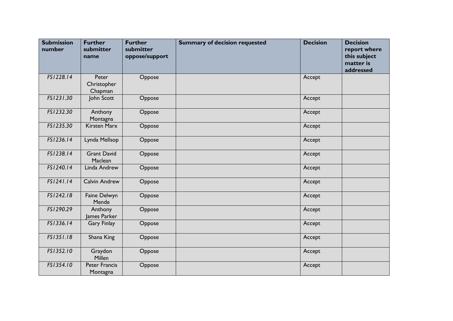| <b>Submission</b><br>number | <b>Further</b><br>submitter<br>name | <b>Further</b><br>submitter<br>oppose/support | <b>Summary of decision requested</b> | <b>Decision</b> | <b>Decision</b><br>report where<br>this subject<br>matter is<br>addressed |
|-----------------------------|-------------------------------------|-----------------------------------------------|--------------------------------------|-----------------|---------------------------------------------------------------------------|
| FS1228.14                   | Peter<br>Christopher<br>Chapman     | Oppose                                        |                                      | Accept          |                                                                           |
| FS1231.30                   | John Scott                          | Oppose                                        |                                      | Accept          |                                                                           |
| FS1232.30                   | Anthony<br>Montagna                 | Oppose                                        |                                      | Accept          |                                                                           |
| FS1235.30                   | <b>Kirsten Marx</b>                 | Oppose                                        |                                      | Accept          |                                                                           |
| FS1236.14                   | Lynda Mellsop                       | Oppose                                        |                                      | Accept          |                                                                           |
| FS1238.14                   | <b>Grant David</b><br>Maclean       | Oppose                                        |                                      | Accept          |                                                                           |
| FS1240.14                   | Linda Andrew                        | Oppose                                        |                                      | Accept          |                                                                           |
| FS1241.14                   | <b>Calvin Andrew</b>                | Oppose                                        |                                      | Accept          |                                                                           |
| FS1242.18                   | Faine Delwyn<br>Mende               | Oppose                                        |                                      | Accept          |                                                                           |
| FS1290.29                   | Anthony<br>lames Parker             | Oppose                                        |                                      | Accept          |                                                                           |
| FS1336.14                   | <b>Gary Finlay</b>                  | Oppose                                        |                                      | Accept          |                                                                           |
| FS1351.18                   | Shana King                          | Oppose                                        |                                      | Accept          |                                                                           |
| FS1352.10                   | Graydon<br>Millen                   | Oppose                                        |                                      | Accept          |                                                                           |
| FS1354.10                   | Peter Francis<br>Montagna           | Oppose                                        |                                      | Accept          |                                                                           |